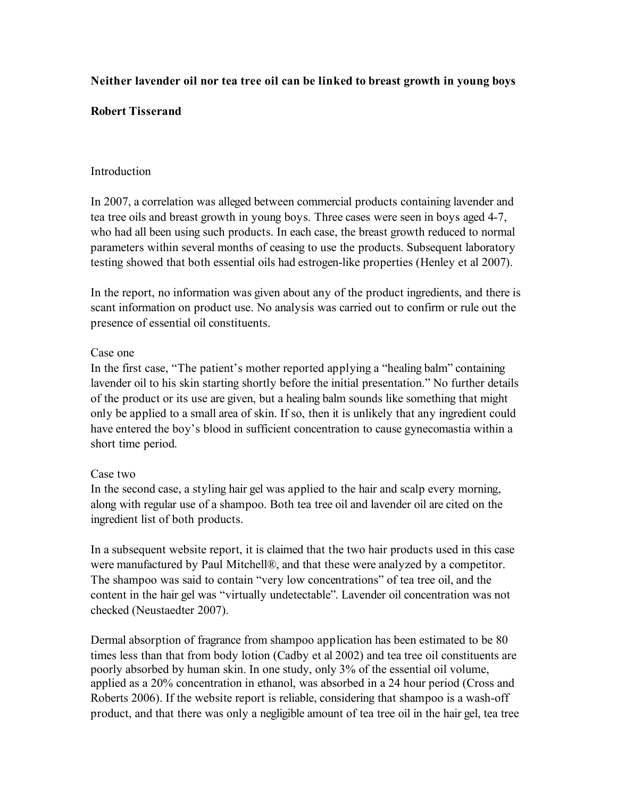# **Neither lavender oil nor tea tree oil can be linked to breast growth in young boys**

### **Robert Tisserand**

### Introduction

In 2007, a correlation was alleged between commercial products containing lavender and tea tree oils and breast growth in young boys. Three cases were seen in boys aged 4-7, who had all been using such products. In each case, the breast growth reduced to normal parameters within several months of ceasing to use the products. Subsequent laboratory testing showed that both essential oils had estrogen-like properties (Henley et al 2007).

In the report, no information was given about any of the product ingredients, and there is scant information on product use. No analysis was carried out to confirm or rule out the presence of essential oil constituents.

### Case one

In the first case, "The patient's mother reported applying a "healing balm" containing lavender oil to his skin starting shortly before the initial presentation." No further details of the product or its use are given, but a healing balm sounds like something that might only be applied to a small area of skin. If so, then it is unlikely that any ingredient could have entered the boy's blood in sufficient concentration to cause gynecomastia within a short time period.

## Case two

In the second case, a styling hair gel was applied to the hair and scalp every morning, along with regular use of a shampoo. Both tea tree oil and lavender oil are cited on the ingredient list of both products.

In a subsequent website report, it is claimed that the two hair products used in this case were manufactured by Paul Mitchell®, and that these were analyzed by a competitor. The shampoo was said to contain "very low concentrations" of tea tree oil, and the content in the hair gel was "virtually undetectable". Lavender oil concentration was not checked (Neustaedter 2007).

Dermal absorption of fragrance from shampoo application has been estimated to be 80 times less than that from body lotion (Cadby et al 2002) and tea tree oil constituents are poorly absorbed by human skin. In one study, only 3% of the essential oil volume, applied as a 20% concentration in ethanol, was absorbed in a 24 hour period (Cross and Roberts 2006). If the website report is reliable, considering that shampoo is a wash-off product, and that there was only a negligible amount of tea tree oil in the hair gel, tea tree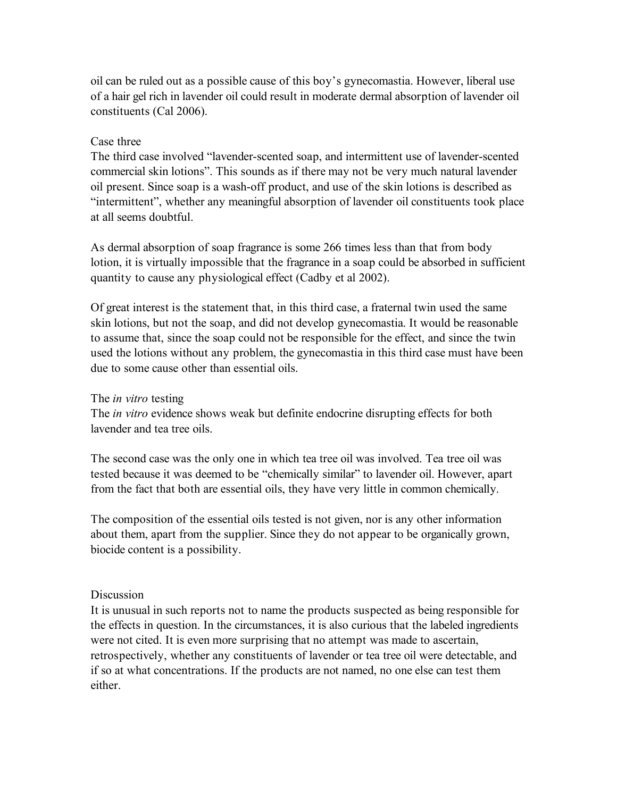oil can be ruled out as a possible cause of this boy's gynecomastia. However, liberal use of a hair gel rich in lavender oil could result in moderate dermal absorption of lavender oil constituents (Cal 2006).

#### Case three

The third case involved "lavender-scented soap, and intermittent use of lavender-scented commercial skin lotions". This sounds as if there may not be very much natural lavender oil present. Since soap is a wash-off product, and use of the skin lotions is described as "intermittent", whether any meaningful absorption of lavender oil constituents took place at all seems doubtful.

As dermal absorption of soap fragrance is some 266 times less than that from body lotion, it is virtually impossible that the fragrance in a soap could be absorbed in sufficient quantity to cause any physiological effect (Cadby et al 2002).

Of great interest is the statement that, in this third case, a fraternal twin used the same skin lotions, but not the soap, and did not develop gynecomastia. It would be reasonable to assume that, since the soap could not be responsible for the effect, and since the twin used the lotions without any problem, the gynecomastia in this third case must have been due to some cause other than essential oils.

### The *in vitro* testing

The *in vitro* evidence shows weak but definite endocrine disrupting effects for both lavender and tea tree oils.

The second case was the only one in which tea tree oil was involved. Tea tree oil was tested because it was deemed to be "chemically similar" to lavender oil. However, apart from the fact that both are essential oils, they have very little in common chemically.

The composition of the essential oils tested is not given, nor is any other information about them, apart from the supplier. Since they do not appear to be organically grown, biocide content is a possibility.

#### **Discussion**

It is unusual in such reports not to name the products suspected as being responsible for the effects in question. In the circumstances, it is also curious that the labeled ingredients were not cited. It is even more surprising that no attempt was made to ascertain, retrospectively, whether any constituents of lavender or tea tree oil were detectable, and if so at what concentrations. If the products are not named, no one else can test them either.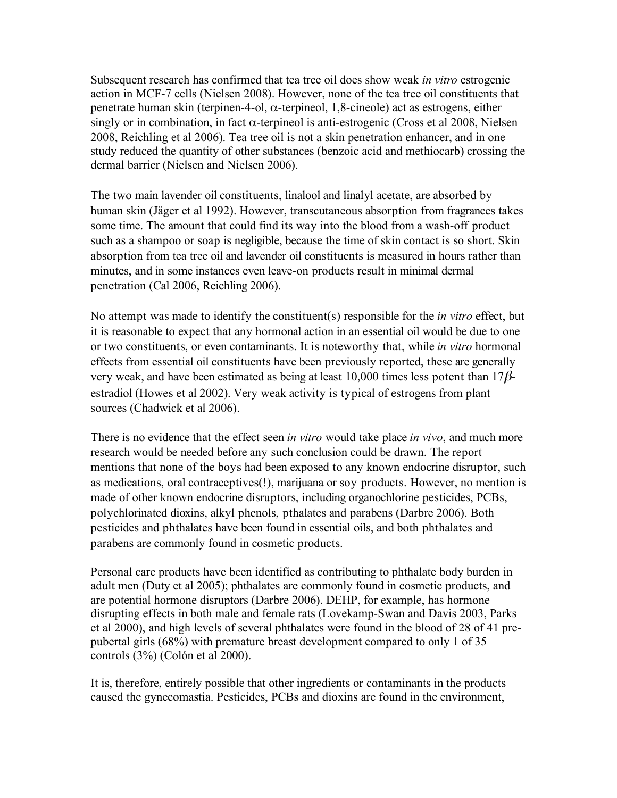Subsequent research has confirmed that tea tree oil does show weak *in vitro* estrogenic action in MCF-7 cells (Nielsen 2008). However, none of the tea tree oil constituents that penetrate human skin (terpinen-4-ol,  $\alpha$ -terpineol, 1,8-cineole) act as estrogens, either singly or in combination, in fact α-terpineol is anti-estrogenic (Cross et al 2008, Nielsen 2008, Reichling et al 2006). Tea tree oil is not a skin penetration enhancer, and in one study reduced the quantity of other substances (benzoic acid and methiocarb) crossing the dermal barrier (Nielsen and Nielsen 2006).

The two main lavender oil constituents, linalool and linalyl acetate, are absorbed by human skin (Jäger et al 1992). However, transcutaneous absorption from fragrances takes some time. The amount that could find its way into the blood from a wash-off product such as a shampoo or soap is negligible, because the time of skin contact is so short. Skin absorption from tea tree oil and lavender oil constituents is measured in hours rather than minutes, and in some instances even leave-on products result in minimal dermal penetration (Cal 2006, Reichling 2006).

No attempt was made to identify the constituent(s) responsible for the *in vitro* effect, but it is reasonable to expect that any hormonal action in an essential oil would be due to one or two constituents, or even contaminants. It is noteworthy that, while *in vitro* hormonal effects from essential oil constituents have been previously reported, these are generally very weak, and have been estimated as being at least 10,000 times less potent than  $17\beta$ estradiol (Howes et al 2002). Very weak activity is typical of estrogens from plant sources (Chadwick et al 2006).

There is no evidence that the effect seen *in vitro* would take place *in vivo*, and much more research would be needed before any such conclusion could be drawn. The report mentions that none of the boys had been exposed to any known endocrine disruptor, such as medications, oral contraceptives(!), marijuana or soy products. However, no mention is made of other known endocrine disruptors, including organochlorine pesticides, PCBs, polychlorinated dioxins, alkyl phenols, pthalates and parabens (Darbre 2006). Both pesticides and phthalates have been found in essential oils, and both phthalates and parabens are commonly found in cosmetic products.

Personal care products have been identified as contributing to phthalate body burden in adult men (Duty et al 2005); phthalates are commonly found in cosmetic products, and are potential hormone disruptors (Darbre 2006). DEHP, for example, has hormone disrupting effects in both male and female rats (Lovekamp-Swan and Davis 2003, Parks et al 2000), and high levels of several phthalates were found in the blood of 28 of 41 prepubertal girls (68%) with premature breast development compared to only 1 of 35 controls (3%) (Colón et al 2000).

It is, therefore, entirely possible that other ingredients or contaminants in the products caused the gynecomastia. Pesticides, PCBs and dioxins are found in the environment,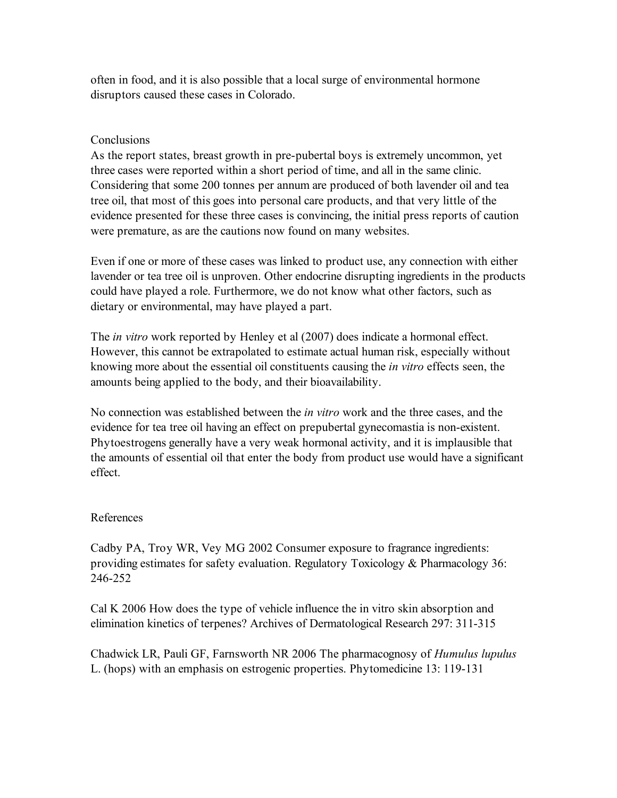often in food, and it is also possible that a local surge of environmental hormone disruptors caused these cases in Colorado.

## **Conclusions**

As the report states, breast growth in pre-pubertal boys is extremely uncommon, yet three cases were reported within a short period of time, and all in the same clinic. Considering that some 200 tonnes per annum are produced of both lavender oil and tea tree oil, that most of this goes into personal care products, and that very little of the evidence presented for these three cases is convincing, the initial press reports of caution were premature, as are the cautions now found on many websites.

Even if one or more of these cases was linked to product use, any connection with either lavender or tea tree oil is unproven. Other endocrine disrupting ingredients in the products could have played a role. Furthermore, we do not know what other factors, such as dietary or environmental, may have played a part.

The *in vitro* work reported by Henley et al (2007) does indicate a hormonal effect. However, this cannot be extrapolated to estimate actual human risk, especially without knowing more about the essential oil constituents causing the *in vitro* effects seen, the amounts being applied to the body, and their bioavailability.

No connection was established between the *in vitro* work and the three cases, and the evidence for tea tree oil having an effect on prepubertal gynecomastia is non-existent. Phytoestrogens generally have a very weak hormonal activity, and it is implausible that the amounts of essential oil that enter the body from product use would have a significant effect.

## References

Cadby PA, Troy WR, Vey MG 2002 Consumer exposure to fragrance ingredients: providing estimates for safety evaluation. Regulatory Toxicology & Pharmacology 36: 246-252

Cal K 2006 How does the type of vehicle influence the in vitro skin absorption and elimination kinetics of terpenes? Archives of Dermatological Research 297: 311-315

Chadwick LR, Pauli GF, Farnsworth NR 2006 The pharmacognosy of *Humulus lupulus* L. (hops) with an emphasis on estrogenic properties. Phytomedicine 13: 119-131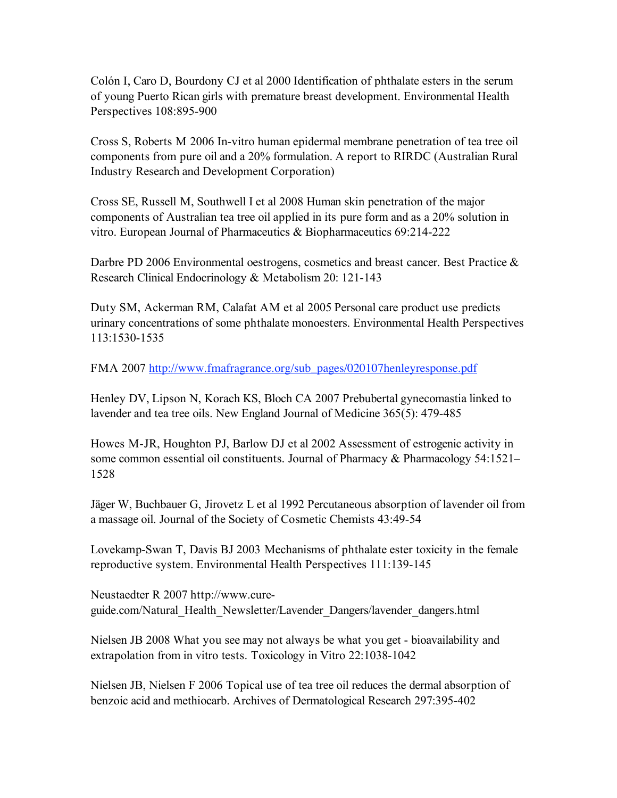Colón I, Caro D, Bourdony CJ et al 2000 Identification of phthalate esters in the serum of young Puerto Rican girls with premature breast development. Environmental Health Perspectives 108:895-900

Cross S, Roberts M 2006 In-vitro human epidermal membrane penetration of tea tree oil components from pure oil and a 20% formulation. A report to RIRDC (Australian Rural Industry Research and Development Corporation)

Cross SE, Russell M, Southwell I et al 2008 Human skin penetration of the major components of Australian tea tree oil applied in its pure form and as a 20% solution in vitro. European Journal of Pharmaceutics & Biopharmaceutics 69:214-222

Darbre PD 2006 Environmental oestrogens, cosmetics and breast cancer. Best Practice & Research Clinical Endocrinology & Metabolism 20: 121-143

Duty SM, Ackerman RM, Calafat AM et al 2005 Personal care product use predicts urinary concentrations of some phthalate monoesters. Environmental Health Perspectives 113:1530-1535

FMA 2007 http://www.fmafragrance.org/sub\_pages/020107henleyresponse.pdf

Henley DV, Lipson N, Korach KS, Bloch CA 2007 Prebubertal gynecomastia linked to lavender and tea tree oils. New England Journal of Medicine 365(5): 479-485

Howes M-JR, Houghton PJ, Barlow DJ et al 2002 Assessment of estrogenic activity in some common essential oil constituents. Journal of Pharmacy & Pharmacology 54:1521– 1528

Jäger W, Buchbauer G, Jirovetz L et al 1992 Percutaneous absorption of lavender oil from a massage oil. Journal of the Society of Cosmetic Chemists 43:49-54

Lovekamp-Swan T, Davis BJ 2003 Mechanisms of phthalate ester toxicity in the female reproductive system. Environmental Health Perspectives 111:139-145

Neustaedter R 2007 http://www.cureguide.com/Natural\_Health\_Newsletter/Lavender\_Dangers/lavender\_dangers.html

Nielsen JB 2008 What you see may not always be what you get - bioavailability and extrapolation from in vitro tests. Toxicology in Vitro 22:1038-1042

Nielsen JB, Nielsen F 2006 Topical use of tea tree oil reduces the dermal absorption of benzoic acid and methiocarb. Archives of Dermatological Research 297:395-402